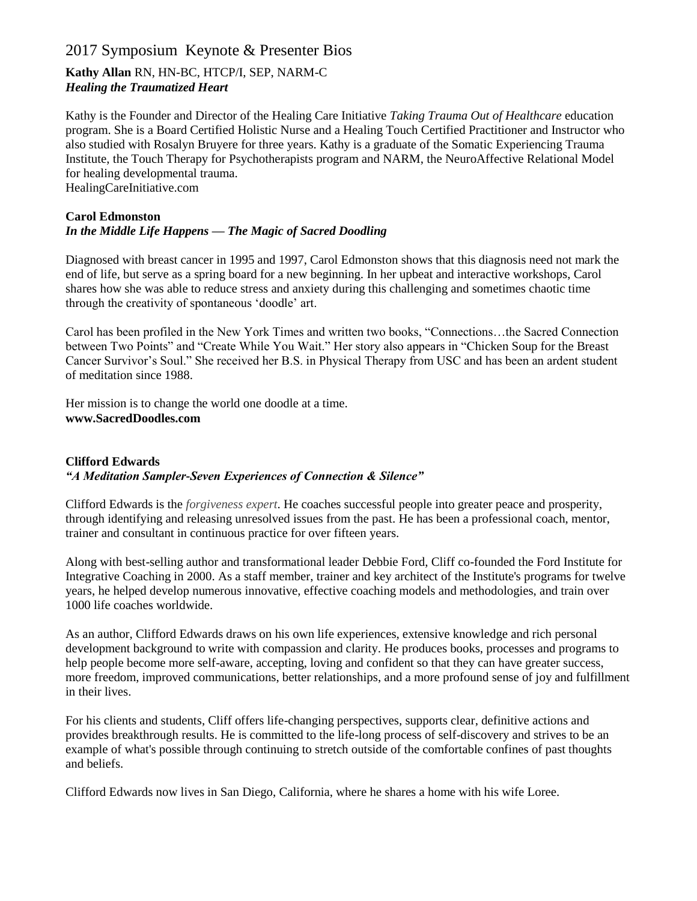# 2017 Symposium Keynote & Presenter Bios

# **Kathy Allan** RN, HN-BC, HTCP/I, SEP, NARM-C *Healing the Traumatized Heart*

Kathy is the Founder and Director of the Healing Care Initiative *Taking Trauma Out of Healthcare* education program. She is a Board Certified Holistic Nurse and a Healing Touch Certified Practitioner and Instructor who also studied with Rosalyn Bruyere for three years. Kathy is a graduate of the Somatic Experiencing Trauma Institute, the Touch Therapy for Psychotherapists program and NARM, the NeuroAffective Relational Model for healing developmental trauma. HealingCareInitiative.com

# **Carol Edmonston** *In the Middle Life Happens — The Magic of Sacred Doodling*

Diagnosed with breast cancer in 1995 and 1997, Carol Edmonston shows that this diagnosis need not mark the end of life, but serve as a spring board for a new beginning. In her upbeat and interactive workshops, Carol shares how she was able to reduce stress and anxiety during this challenging and sometimes chaotic time through the creativity of spontaneous 'doodle' art.

Carol has been profiled in the New York Times and written two books, "Connections…the Sacred Connection between Two Points" and "Create While You Wait." Her story also appears in "Chicken Soup for the Breast Cancer Survivor's Soul." She received her B.S. in Physical Therapy from USC and has been an ardent student of meditation since 1988.

Her mission is to change the world one doodle at a time. **www.SacredDoodles.com**

# **Clifford Edwards**

# *"A Meditation Sampler-Seven Experiences of Connection & Silence"*

Clifford Edwards is the *forgiveness expert*. He coaches successful people into greater peace and prosperity, through identifying and releasing unresolved issues from the past. He has been a professional coach, mentor, trainer and consultant in continuous practice for over fifteen years.

Along with best-selling author and transformational leader Debbie Ford, Cliff co-founded the Ford Institute for Integrative Coaching in 2000. As a staff member, trainer and key architect of the Institute's programs for twelve years, he helped develop numerous innovative, effective coaching models and methodologies, and train over 1000 life coaches worldwide.

As an author, Clifford Edwards draws on his own life experiences, extensive knowledge and rich personal development background to write with compassion and clarity. He produces books, processes and programs to help people become more self-aware, accepting, loving and confident so that they can have greater success, more freedom, improved communications, better relationships, and a more profound sense of joy and fulfillment in their lives.

For his clients and students, Cliff offers life-changing perspectives, supports clear, definitive actions and provides breakthrough results. He is committed to the life-long process of self-discovery and strives to be an example of what's possible through continuing to stretch outside of the comfortable confines of past thoughts and beliefs.

Clifford Edwards now lives in San Diego, California, where he shares a home with his wife Loree.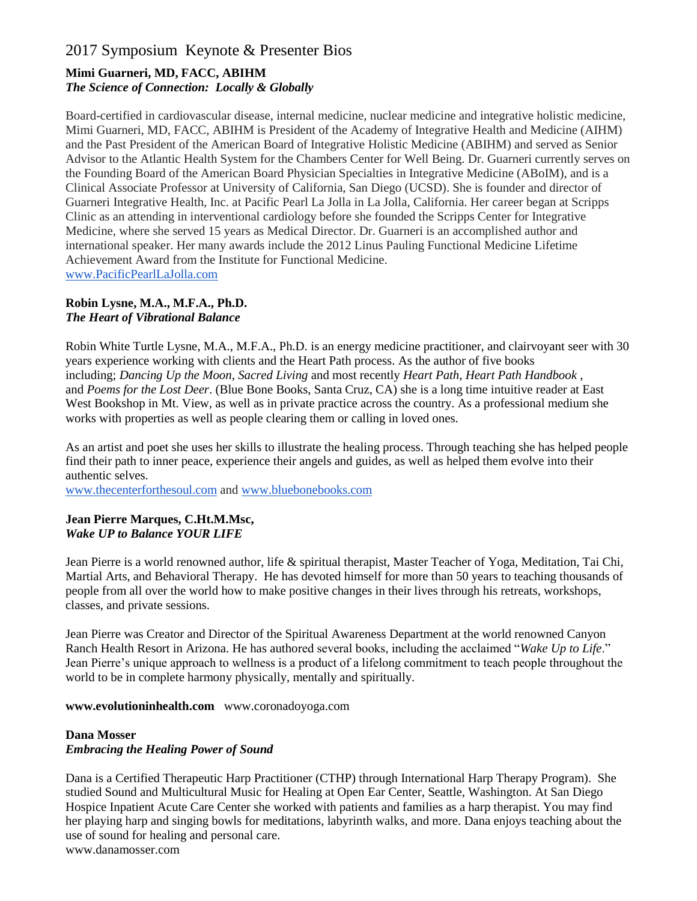# 2017 Symposium Keynote & Presenter Bios

# **Mimi Guarneri, MD, FACC, ABIHM**  *The Science of Connection: Locally & Globally*

Board-certified in cardiovascular disease, internal medicine, nuclear medicine and integrative holistic medicine, Mimi Guarneri, MD, FACC, ABIHM is President of the Academy of Integrative Health and Medicine (AIHM) and the Past President of the American Board of Integrative Holistic Medicine (ABIHM) and served as Senior Advisor to the Atlantic Health System for the Chambers Center for Well Being. Dr. Guarneri currently serves on the Founding Board of the American Board Physician Specialties in Integrative Medicine (ABoIM), and is a Clinical Associate Professor at University of California, San Diego (UCSD). She is founder and director of Guarneri Integrative Health, Inc. at Pacific Pearl La Jolla in La Jolla, California. Her career began at Scripps Clinic as an attending in interventional cardiology before she founded the Scripps Center for Integrative Medicine, where she served 15 years as Medical Director. Dr. Guarneri is an accomplished author and international speaker. Her many awards include the 2012 Linus Pauling Functional Medicine Lifetime Achievement Award from the Institute for Functional Medicine. [www.PacificPearlLaJolla.com](http://www.pacificpearllajolla.com/)

#### **Robin Lysne, M.A., M.F.A., Ph.D.**  *The Heart of Vibrational Balance*

Robin White Turtle Lysne, M.A., M.F.A., Ph.D. is an energy medicine practitioner, and clairvoyant seer with 30 years experience working with clients and the Heart Path process. As the author of five books including; *Dancing Up the Moon*, *Sacred Living* and most recently *Heart Path*, *Heart Path Handbook* , and *Poems for the Lost Deer*. (Blue Bone Books, Santa Cruz, CA) she is a long time intuitive reader at East West Bookshop in Mt. View, as well as in private practice across the country. As a professional medium she works with properties as well as people clearing them or calling in loved ones.

As an artist and poet she uses her skills to illustrate the healing process. Through teaching she has helped people find their path to inner peace, experience their angels and guides, as well as helped them evolve into their authentic selves.

[www.thecenterforthesoul.com](http://www.thecenterforthesoul.com/) and [www.bluebonebooks.com](http://www.bluebonebooks.com/)

#### **Jean Pierre Marques, C.Ht.M.Msc,**  *Wake UP to Balance YOUR LIFE*

Jean Pierre is a world renowned author, life & spiritual therapist, Master Teacher of Yoga, Meditation, Tai Chi, Martial Arts, and Behavioral Therapy. He has devoted himself for more than 50 years to teaching thousands of people from all over the world how to make positive changes in their lives through his retreats, workshops, classes, and private sessions.

Jean Pierre was Creator and Director of the Spiritual Awareness Department at the world renowned Canyon Ranch Health Resort in Arizona. He has authored several books, including the acclaimed "*Wake Up to Life*." Jean Pierre's unique approach to wellness is a product of a lifelong commitment to teach people throughout the world to be in complete harmony physically, mentally and spiritually.

**www.evolutioninhealth.com** www.coronadoyoga.com

# **Dana Mosser** *Embracing the Healing Power of Sound*

Dana is a Certified Therapeutic Harp Practitioner (CTHP) through International Harp Therapy Program). She studied Sound and Multicultural Music for Healing at Open Ear Center, Seattle, Washington. At San Diego Hospice Inpatient Acute Care Center she worked with patients and families as a harp therapist. You may find her playing harp and singing bowls for meditations, labyrinth walks, and more. Dana enjoys teaching about the use of sound for healing and personal care. www.danamosser.com